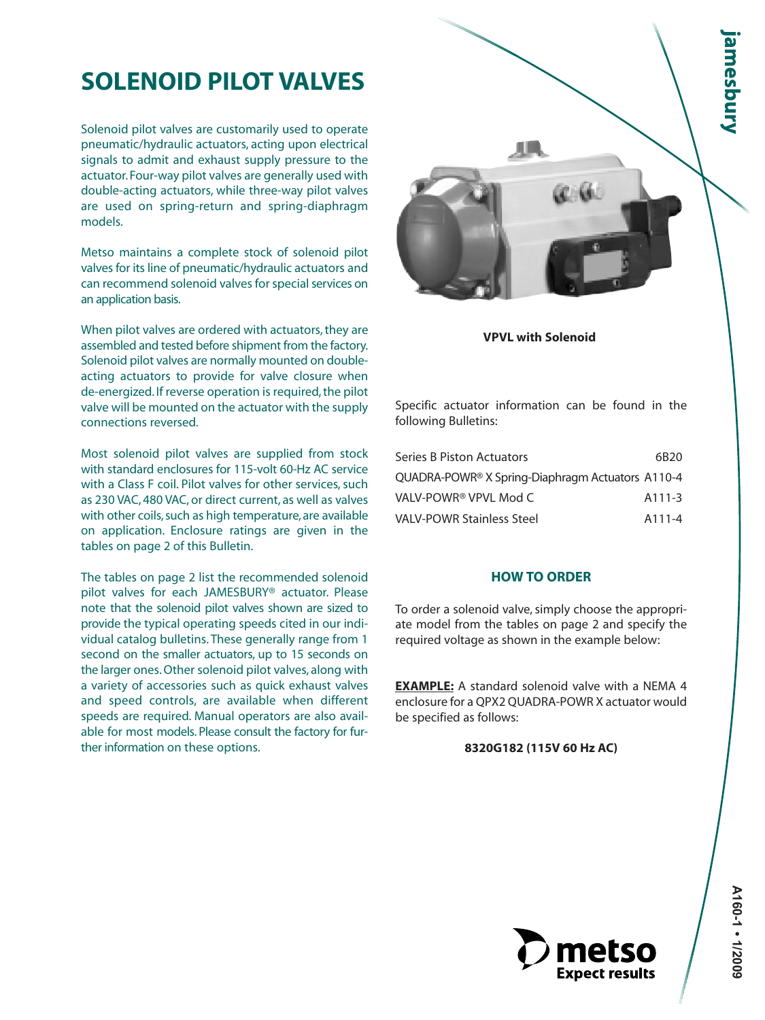# **SOLENOID PILOT VALVES**

Solenoid pilot valves are customarily used to operate pneumatic/hydraulic actuators, acting upon electrical signals to admit and exhaust supply pressure to the actuator. Four-way pilot valves are generally used with double-acting actuators, while three-way pilot valves are used on spring-return and spring-diaphragm models.

Metso maintains a complete stock of solenoid pilot valves for its line of pneumatic/hydraulic actuators and can recommend solenoid valves for special services on an application basis.

When pilot valves are ordered with actuators, they are assembled and tested before shipment from the factory. Solenoid pilot valves are normally mounted on doubleacting actuators to provide for valve closure when de-energized. If reverse operation is required, the pilot valve will be mounted on the actuator with the supply connections reversed.

Most solenoid pilot valves are supplied from stock with standard enclosures for 115-volt 60-Hz AC service with a Class F coil. Pilot valves for other services, such as 230 VAC, 480 VAC, or direct current, as well as valves with other coils, such as high temperature, are available on application. Enclosure ratings are given in the tables on page 2 of this Bulletin.

The tables on page 2 list the recommended solenoid pilot valves for each JAMESBURY® actuator. Please note that the solenoid pilot valves shown are sized to provide the typical operating speeds cited in our individual catalog bulletins. These generally range from 1 second on the smaller actuators, up to 15 seconds on the larger ones. Other solenoid pilot valves, along with a variety of accessories such as quick exhaust valves and speed controls, are available when different speeds are required. Manual operators are also available for most models. Please consult the factory for further information on these options.



#### **VPVL with Solenoid**

Specific actuator information can be found in the following Bulletins:

| Series B Piston Actuators                        | 6B20                |
|--------------------------------------------------|---------------------|
| QUADRA-POWR® X Spring-Diaphragm Actuators A110-4 |                     |
| VALV-POWR® VPVL Mod C                            | A <sub>111</sub> -3 |
| VALV-POWR Stainless Steel                        | A111-4              |

## **HOW TO ORDER**

To order a solenoid valve, simply choose the appropriate model from the tables on page 2 and specify the required voltage as shown in the example below:

**EXAMPLE:** A standard solenoid valve with a NEMA 4 enclosure for a QPX2 QUADRA-POWR X actuator would be specified as follows:

### **8320G182 (115V 60 Hz AC)**